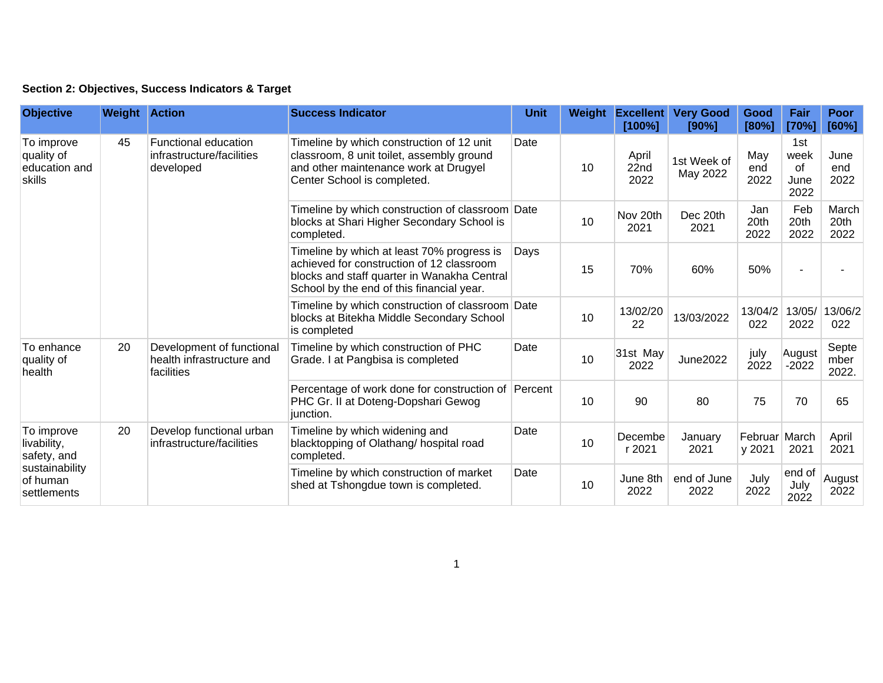## **Section 2: Objectives, Success Indicators & Target**

| <b>Objective</b>                                                                      | <b>Weight Action</b> |                                                                      | <b>Success Indicator</b>                                                                                                                                                            | <b>Unit</b> | Weight | <b>Excellent</b><br>[100%] | <b>Very Good</b><br>[90%] | Good<br>[80%]           | Fair<br>[70%]                     | <b>Poor</b><br>[60%]   |
|---------------------------------------------------------------------------------------|----------------------|----------------------------------------------------------------------|-------------------------------------------------------------------------------------------------------------------------------------------------------------------------------------|-------------|--------|----------------------------|---------------------------|-------------------------|-----------------------------------|------------------------|
| To improve<br>quality of<br>education and<br>skills                                   | 45                   | Functional education<br>infrastructure/facilities<br>developed       | Timeline by which construction of 12 unit<br>classroom, 8 unit toilet, assembly ground<br>and other maintenance work at Drugyel<br>Center School is completed.                      | Date        | 10     | April<br>22nd<br>2022      | 1st Week of<br>May 2022   | May<br>end<br>2022      | 1st<br>week<br>of<br>June<br>2022 | June<br>end<br>2022    |
|                                                                                       |                      |                                                                      | Timeline by which construction of classroom Date<br>blocks at Shari Higher Secondary School is<br>completed.                                                                        |             | 10     | Nov 20th<br>2021           | Dec 20th<br>2021          | Jan<br>20th<br>2022     | Feb<br>20th<br>2022               | March<br>20th<br>2022  |
|                                                                                       |                      |                                                                      | Timeline by which at least 70% progress is<br>achieved for construction of 12 classroom<br>blocks and staff quarter in Wanakha Central<br>School by the end of this financial year. | Days        | 15     | 70%                        | 60%                       | 50%                     |                                   |                        |
|                                                                                       |                      |                                                                      | Timeline by which construction of classroom Date<br>blocks at Bitekha Middle Secondary School<br>is completed                                                                       |             | 10     | 13/02/20<br>22             | 13/03/2022                | 13/04/2<br>022          | 13/05/<br>2022                    | 13/06/2<br>022         |
| To enhance<br>quality of<br>health                                                    | 20                   | Development of functional<br>health infrastructure and<br>facilities | Timeline by which construction of PHC<br>Grade. I at Pangbisa is completed                                                                                                          | Date        | 10     | 31st May<br>2022           | <b>June2022</b>           | july<br>2022            | August<br>$-2022$                 | Septe<br>mber<br>2022. |
|                                                                                       |                      |                                                                      | Percentage of work done for construction of Percent<br>PHC Gr. II at Doteng-Dopshari Gewog<br>junction.                                                                             |             | 10     | 90                         | 80                        | 75                      | 70                                | 65                     |
| To improve<br>livability,<br>safety, and<br>sustainability<br>of human<br>settlements | 20                   | Develop functional urban<br>infrastructure/facilities                | Timeline by which widening and<br>blacktopping of Olathang/ hospital road<br>completed.                                                                                             | Date        | 10     | Decembe<br>r 2021          | January<br>2021           | Februar March<br>y 2021 | 2021                              | April<br>2021          |
|                                                                                       |                      |                                                                      | Timeline by which construction of market<br>shed at Tshongdue town is completed.                                                                                                    | Date        | 10     | June 8th<br>2022           | end of June<br>2022       | July<br>2022            | end of<br>July<br>2022            | August<br>2022         |